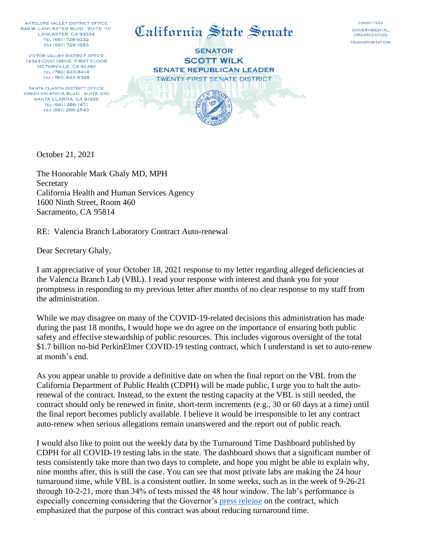ANTELOPE VALLEY DISTRICT OFFICE 848 W. LANCASTER BLVD., SUITE 101 LANCASTER, CA 93534 TEL (661) 729-6232 FAX (661) 729-1683

**VICTOR VALLEY DISTRICT OFFICE** 14343 CIVIC DRIVE, FIRST FLOOR VICTORVILLE, CA 92392 TEL (760) 843-8414 FAX (760) 843-8348

SANTA CLARITA DISTRICT OFFICE 23920 VALENCIA BLVD., SUITE 250 SANTA CLARITA, CA 91355 TEL (661) 286-1471 FAX (661) 286-2543



**SENATOR SCOTT WILK SENATE REPUBLICAN LEADER TWENTY-FIRST SENATE DISTRICT** 

**COMMITTEES** GOVERNMENTAL **ORGANIZATION TRANSPORTATION** 

October 21, 2021

The Honorable Mark Ghaly MD, MPH Secretary California Health and Human Services Agency 1600 Ninth Street, Room 460 Sacramento, CA 95814

RE: Valencia Branch Laboratory Contract Auto-renewal

Dear Secretary Ghaly,

I am appreciative of your October 18, 2021 response to my letter regarding alleged deficiencies at the Valencia Branch Lab (VBL). I read your response with interest and thank you for your promptness in responding to my previous letter after months of no clear response to my staff from the administration.

While we may disagree on many of the COVID-19-related decisions this administration has made during the past 18 months, I would hope we do agree on the importance of ensuring both public safety and effective stewardship of public resources. This includes vigorous oversight of the total \$1.7 billion no-bid PerkinElmer COVID-19 testing contract, which I understand is set to auto-renew at month's end.

As you appear unable to provide a definitive date on when the final report on the VBL from the California Department of Public Health (CDPH) will be made public, I urge you to halt the autorenewal of the contract. Instead, to the extent the testing capacity at the VBL is still needed, the contract should only be renewed in finite, short-term increments (e.g., 30 or 60 days at a time) until the final report becomes publicly available. I believe it would be irresponsible to let any contract auto-renew when serious allegations remain unanswered and the report out of public reach.

I would also like to point out the weekly data by the Turnaround Time Dashboard published by CDPH for all COVID-19 testing labs in the state. The dashboard shows that a significant number of tests consistently take more than two days to complete, and hope you might be able to explain why, nine months after, this is still the case. You can see that most private labs are making the 24 hour turnaround time, while VBL is a consistent outlier. In some weeks, such as in the week of 9-26-21 through 10-2-21, more than 34% of tests missed the 48 hour window. The lab's performance is especially concerning considering that the Governor's [press release](https://www.gov.ca.gov/2020/10/30/in-valencia-governor-newsom-cuts-ribbon-on-californias-new-laboratory-which-will-increase-states-covid-19-testing-capacity-and-reduce-turnaround-times/) on the contract, which emphasized that the purpose of this contract was about reducing turnaround time.